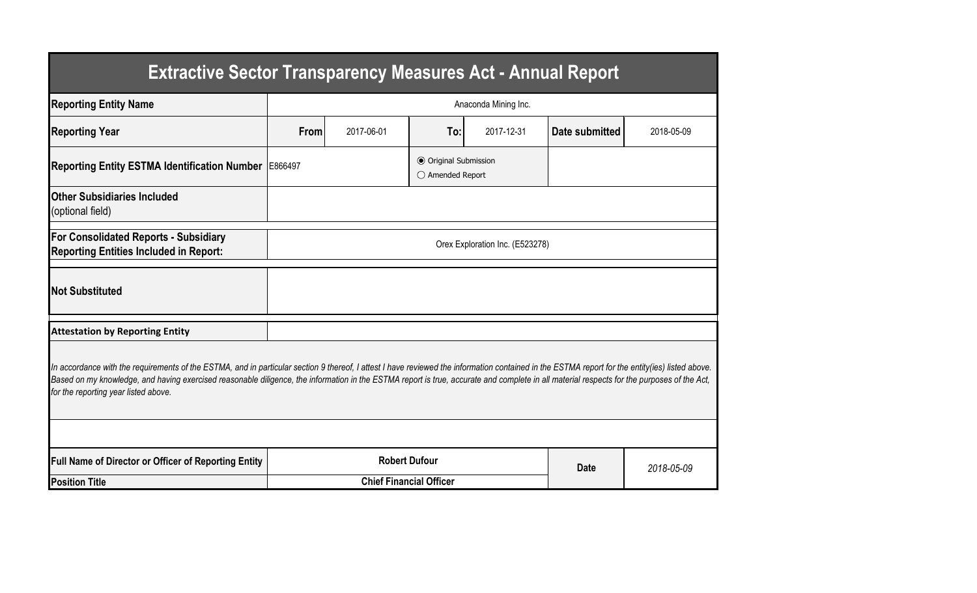| <b>Extractive Sector Transparency Measures Act - Annual Report</b>                                                                                                                                                                                                                                                                                                                                                                    |                                 |            |                                                  |            |                |            |  |  |  |  |
|---------------------------------------------------------------------------------------------------------------------------------------------------------------------------------------------------------------------------------------------------------------------------------------------------------------------------------------------------------------------------------------------------------------------------------------|---------------------------------|------------|--------------------------------------------------|------------|----------------|------------|--|--|--|--|
| <b>Reporting Entity Name</b>                                                                                                                                                                                                                                                                                                                                                                                                          | Anaconda Mining Inc.            |            |                                                  |            |                |            |  |  |  |  |
| <b>Reporting Year</b>                                                                                                                                                                                                                                                                                                                                                                                                                 | From                            | 2017-06-01 | To:                                              | 2017-12-31 | Date submitted | 2018-05-09 |  |  |  |  |
| Reporting Entity ESTMA Identification Number   E866497                                                                                                                                                                                                                                                                                                                                                                                |                                 |            | <b>● Original Submission</b><br>○ Amended Report |            |                |            |  |  |  |  |
| <b>Other Subsidiaries Included</b><br>(optional field)                                                                                                                                                                                                                                                                                                                                                                                |                                 |            |                                                  |            |                |            |  |  |  |  |
| <b>For Consolidated Reports - Subsidiary</b><br><b>Reporting Entities Included in Report:</b>                                                                                                                                                                                                                                                                                                                                         | Orex Exploration Inc. (E523278) |            |                                                  |            |                |            |  |  |  |  |
| <b>Not Substituted</b>                                                                                                                                                                                                                                                                                                                                                                                                                |                                 |            |                                                  |            |                |            |  |  |  |  |
| <b>Attestation by Reporting Entity</b>                                                                                                                                                                                                                                                                                                                                                                                                |                                 |            |                                                  |            |                |            |  |  |  |  |
| In accordance with the requirements of the ESTMA, and in particular section 9 thereof, I attest I have reviewed the information contained in the ESTMA report for the entity(ies) listed above.<br>Based on my knowledge, and having exercised reasonable diligence, the information in the ESTMA report is true, accurate and complete in all material respects for the purposes of the Act,<br>for the reporting year listed above. |                                 |            |                                                  |            |                |            |  |  |  |  |
|                                                                                                                                                                                                                                                                                                                                                                                                                                       |                                 |            |                                                  |            |                |            |  |  |  |  |
| Full Name of Director or Officer of Reporting Entity                                                                                                                                                                                                                                                                                                                                                                                  | <b>Robert Dufour</b>            |            |                                                  |            | <b>Date</b>    | 2018-05-09 |  |  |  |  |
| <b>Position Title</b>                                                                                                                                                                                                                                                                                                                                                                                                                 | <b>Chief Financial Officer</b>  |            |                                                  |            |                |            |  |  |  |  |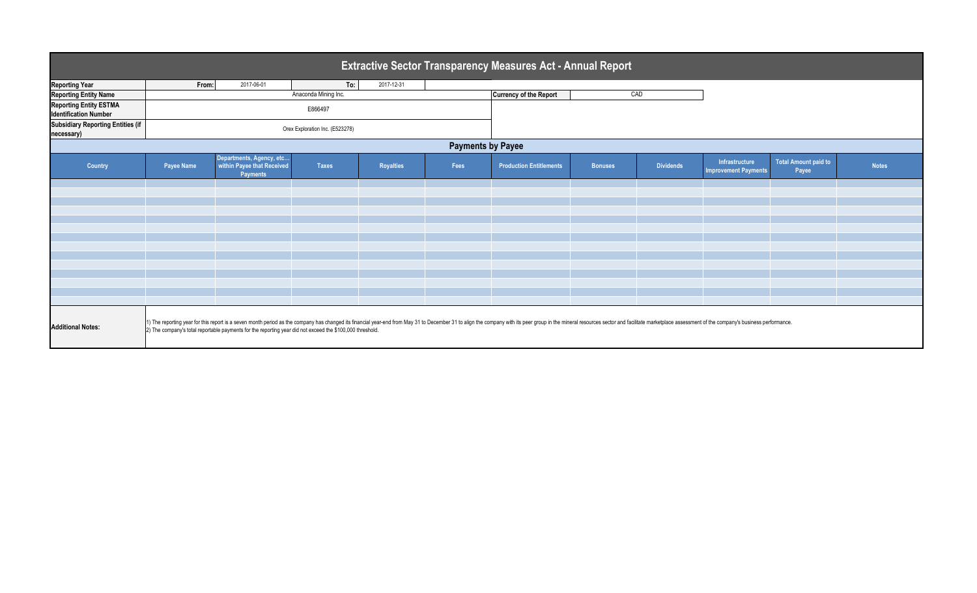| <b>Extractive Sector Transparency Measures Act - Annual Report</b> |                                                                                                                                                                                                                                                                                                                                             |                                                                           |                      |                  |      |                                |                |                  |                                               |                                      |              |
|--------------------------------------------------------------------|---------------------------------------------------------------------------------------------------------------------------------------------------------------------------------------------------------------------------------------------------------------------------------------------------------------------------------------------|---------------------------------------------------------------------------|----------------------|------------------|------|--------------------------------|----------------|------------------|-----------------------------------------------|--------------------------------------|--------------|
| <b>Reporting Year</b>                                              | From:                                                                                                                                                                                                                                                                                                                                       | 2017-06-01                                                                | To:                  | 2017-12-31       |      |                                |                |                  |                                               |                                      |              |
| <b>Reporting Entity Name</b>                                       |                                                                                                                                                                                                                                                                                                                                             |                                                                           | Anaconda Mining Inc. |                  |      | <b>Currency of the Report</b>  |                | CAD              |                                               |                                      |              |
| <b>Reporting Entity ESTMA</b><br><b>Identification Number</b>      | E866497                                                                                                                                                                                                                                                                                                                                     |                                                                           |                      |                  |      |                                |                |                  |                                               |                                      |              |
| <b>Subsidiary Reporting Entities (if</b><br>necessary)             | Orex Exploration Inc. (E523278)                                                                                                                                                                                                                                                                                                             |                                                                           |                      |                  |      |                                |                |                  |                                               |                                      |              |
| <b>Payments by Payee</b>                                           |                                                                                                                                                                                                                                                                                                                                             |                                                                           |                      |                  |      |                                |                |                  |                                               |                                      |              |
| Country                                                            | Payee Name                                                                                                                                                                                                                                                                                                                                  | Departments, Agency, etc<br>within Payee that Received<br><b>Payments</b> | <b>Taxes</b>         | <b>Royalties</b> | Fees | <b>Production Entitlements</b> | <b>Bonuses</b> | <b>Dividends</b> | Infrastructure<br><b>Improvement Payments</b> | <b>Total Amount paid to</b><br>Payee | <b>Notes</b> |
|                                                                    |                                                                                                                                                                                                                                                                                                                                             |                                                                           |                      |                  |      |                                |                |                  |                                               |                                      |              |
|                                                                    |                                                                                                                                                                                                                                                                                                                                             |                                                                           |                      |                  |      |                                |                |                  |                                               |                                      |              |
|                                                                    |                                                                                                                                                                                                                                                                                                                                             |                                                                           |                      |                  |      |                                |                |                  |                                               |                                      |              |
|                                                                    |                                                                                                                                                                                                                                                                                                                                             |                                                                           |                      |                  |      |                                |                |                  |                                               |                                      |              |
|                                                                    |                                                                                                                                                                                                                                                                                                                                             |                                                                           |                      |                  |      |                                |                |                  |                                               |                                      |              |
|                                                                    |                                                                                                                                                                                                                                                                                                                                             |                                                                           |                      |                  |      |                                |                |                  |                                               |                                      |              |
|                                                                    |                                                                                                                                                                                                                                                                                                                                             |                                                                           |                      |                  |      |                                |                |                  |                                               |                                      |              |
|                                                                    |                                                                                                                                                                                                                                                                                                                                             |                                                                           |                      |                  |      |                                |                |                  |                                               |                                      |              |
|                                                                    |                                                                                                                                                                                                                                                                                                                                             |                                                                           |                      |                  |      |                                |                |                  |                                               |                                      |              |
|                                                                    |                                                                                                                                                                                                                                                                                                                                             |                                                                           |                      |                  |      |                                |                |                  |                                               |                                      |              |
|                                                                    |                                                                                                                                                                                                                                                                                                                                             |                                                                           |                      |                  |      |                                |                |                  |                                               |                                      |              |
|                                                                    |                                                                                                                                                                                                                                                                                                                                             |                                                                           |                      |                  |      |                                |                |                  |                                               |                                      |              |
| <b>Additional Notes:</b>                                           | 1) The reporting year for this report is a seven month period as the company has changed its financial year-end from May 31 to December 31 to align the company with its peer group in the mineral resources sector and facili<br>2) The company's total reportable payments for the reporting year did not exceed the \$100,000 threshold. |                                                                           |                      |                  |      |                                |                |                  |                                               |                                      |              |